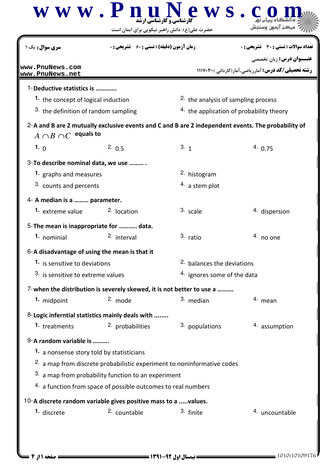| <b>سری سوال :</b> یک ۱                        | <b>زمان آزمون (دقیقه) : تستی : 60 ٪ تشریحی : 0</b>                                                 |                                               | تعداد سوالات : تستي : 30 ٪ تشريحي : 0<br><b>عنـــوان درس:</b> زبان تخصصي<br><b>رشته تحصیلی/کد درس:</b> آمارریاضی،آمار(کاردانی )۳۰۲۰/۱۱۱۷ |  |
|-----------------------------------------------|----------------------------------------------------------------------------------------------------|-----------------------------------------------|------------------------------------------------------------------------------------------------------------------------------------------|--|
| www.PnuNews.com<br>www.PnuNews.net            |                                                                                                    |                                               |                                                                                                                                          |  |
| 1-Deductive statistics is                     |                                                                                                    |                                               |                                                                                                                                          |  |
| 1. the concept of logical induction           |                                                                                                    | <sup>2</sup> the analysis of sampling process |                                                                                                                                          |  |
| 3. the definition of random sampling          |                                                                                                    | 4. the application of probability theory      |                                                                                                                                          |  |
| $A \cap B \cap C$ equals to                   | 2-A and B are 2 mutually exclusive events and C and B are 2 independent events. The probability of |                                               |                                                                                                                                          |  |
| 1. $\theta$                                   | 2.0.5                                                                                              | 3.1                                           | 4.0.75                                                                                                                                   |  |
| 3-To describe nominal data, we use            |                                                                                                    |                                               |                                                                                                                                          |  |
| 1. graphs and measures                        |                                                                                                    | 2. histogram                                  |                                                                                                                                          |  |
| 3. counts and percents                        |                                                                                                    | $4.$ a stem plot                              |                                                                                                                                          |  |
| 4- A median is a  parameter.                  |                                                                                                    |                                               |                                                                                                                                          |  |
| 1. extreme value                              | <sup>2.</sup> location                                                                             | 3. scale                                      | 4. dispersion                                                                                                                            |  |
| 5-The mean is inappropriate for  data.        |                                                                                                    |                                               |                                                                                                                                          |  |
| 1. nominial                                   | 2. interval                                                                                        | 3. ratio                                      | $4.$ no one                                                                                                                              |  |
| 6-A disadvantage of using the mean is that it |                                                                                                    |                                               |                                                                                                                                          |  |
| 1. is sensitive to deviations                 |                                                                                                    | 2. balances the deviations                    |                                                                                                                                          |  |
| 3. is sensitive to extreme values             |                                                                                                    | 4. ignores some of the data                   |                                                                                                                                          |  |
|                                               | 7-when the distribution is severely skewed, it is not better to use a                              |                                               |                                                                                                                                          |  |
| 1. midpoint                                   | 2. mode                                                                                            | 3. median                                     | 4. mean                                                                                                                                  |  |
|                                               | 8-Logic inferntial statistics mainly deals with                                                    |                                               |                                                                                                                                          |  |
| 1. treatments                                 | 2. probabilities                                                                                   | 3. populations                                | 4. assumption                                                                                                                            |  |
| 9-A random variable is                        |                                                                                                    |                                               |                                                                                                                                          |  |
| 1. a nonsense story told by statisticians     |                                                                                                    |                                               |                                                                                                                                          |  |
|                                               | <sup>2.</sup> a map from discrete probabilistic experiment to noninformative codes                 |                                               |                                                                                                                                          |  |
|                                               | 3. a map from probability function to an experiment                                                |                                               |                                                                                                                                          |  |
|                                               | 4. a function from space of possible outcomes to real numbers                                      |                                               |                                                                                                                                          |  |
|                                               | 10-A discrete random variable gives positive mass to a values.                                     |                                               |                                                                                                                                          |  |
| <sup>1.</sup> discrete                        | 2. countable                                                                                       | 3. finite                                     | 4. uncountable                                                                                                                           |  |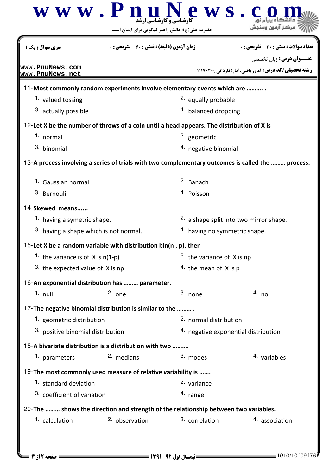| <mark>سری سوال :</mark> یک ۱           | <b>زمان آزمون (دقیقه) : تستی : 60 ٪ تشریحی : 0</b>                                        |                                                    | تعداد سوالات : تستي : 30 ٪ تشريحي : 0                                                             |  |
|----------------------------------------|-------------------------------------------------------------------------------------------|----------------------------------------------------|---------------------------------------------------------------------------------------------------|--|
| www.PnuNews.com<br>www.PnuNews.net     |                                                                                           |                                                    | <b>عنـــوان درس:</b> زبان تخصصي<br>رشته تحصیلی/کد درس: آمارریاضی،آمار(کاردانی)۲۰۲۰/۱۱۱۷           |  |
|                                        | 11-Most commonly random experiments involve elementary events which are                   |                                                    |                                                                                                   |  |
| 1. valued tossing                      |                                                                                           | <sup>2.</sup> equally probable                     |                                                                                                   |  |
| 3. actually possible                   |                                                                                           | <sup>4.</sup> balanced dropping                    |                                                                                                   |  |
|                                        | 12-Let X be the number of throws of a coin until a head appears. The distribution of X is |                                                    |                                                                                                   |  |
| 1. normal                              |                                                                                           | 2. geometric                                       |                                                                                                   |  |
| 3. binomial                            |                                                                                           | <sup>4.</sup> negative binomial                    |                                                                                                   |  |
|                                        |                                                                                           |                                                    | 13-A process involving a series of trials with two complementary outcomes is called the  process. |  |
| 1. Gaussian normal                     |                                                                                           | <sup>2.</sup> Banach                               |                                                                                                   |  |
| 3. Bernouli                            |                                                                                           | <sup>4.</sup> Poisson                              |                                                                                                   |  |
| 14-Skewed means                        |                                                                                           |                                                    |                                                                                                   |  |
| 1. having a symetric shape.            |                                                                                           | <sup>2.</sup> a shape split into two mirror shape. |                                                                                                   |  |
| 3. having a shape which is not normal. |                                                                                           | 4. having no symmetric shape.                      |                                                                                                   |  |
|                                        | 15-Let X be a random variable with distribution bin(n, p), then                           |                                                    |                                                                                                   |  |
| 1. the variance is of $X$ is $n(1-p)$  |                                                                                           | <sup>2</sup> the variance of X is np               |                                                                                                   |  |
| 3. the expected value of $X$ is np     |                                                                                           | 4. the mean of $X$ is p                            |                                                                                                   |  |
|                                        | 16-An exponential distribution has  parameter.                                            |                                                    |                                                                                                   |  |
| $1.$ null                              | $2.$ one                                                                                  | $3.$ none                                          | 4. no                                                                                             |  |
|                                        | 17-The negative binomial distribution is similar to the                                   |                                                    |                                                                                                   |  |
| 1. geometric distribution              |                                                                                           | 2. normal distribution                             |                                                                                                   |  |
| 3. positive binomial distribution      |                                                                                           | 4. negative exponential distribution               |                                                                                                   |  |
|                                        | 18-A bivariate distribution is a distribution with two                                    |                                                    |                                                                                                   |  |
| 1. parameters                          | 2. medians                                                                                | 3. modes                                           | 4. variables                                                                                      |  |
|                                        | 19-The most commonly used measure of relative variability is                              |                                                    |                                                                                                   |  |
| 1. standard deviation                  |                                                                                           | 2. variance                                        |                                                                                                   |  |
| 3. coefficient of variation            |                                                                                           | 4. range                                           |                                                                                                   |  |
|                                        | 20-The  shows the direction and strength of the relationship between two variables.       |                                                    |                                                                                                   |  |
| 1. calculation                         | 2. observation                                                                            | 3. correlation                                     | 4. association                                                                                    |  |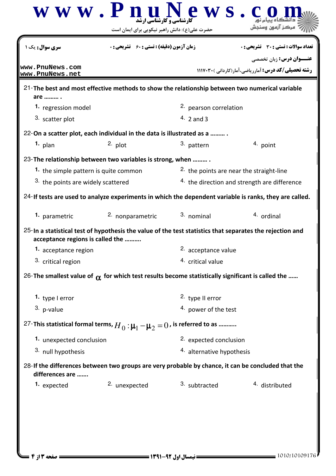| سری سوال : یک                         | <b>زمان آزمون (دقیقه) : تستی : 60 ٪ تشریحی : 0</b>                                                       |                                                         | تعداد سوالات : تستي : 30 ٪ تشريحي : 0                                                                  |  |
|---------------------------------------|----------------------------------------------------------------------------------------------------------|---------------------------------------------------------|--------------------------------------------------------------------------------------------------------|--|
| www.PnuNews.com<br>www.PnuNews.net    |                                                                                                          |                                                         | <b>عنـــوان درس:</b> زبان تخصصي<br><b>رشته تحصیلی/کد درس:</b> آمارریاضی،آمار(کاردانی )3117.30 ا        |  |
|                                       | 21-The best and most effective methods to show the relationship between two numerical variable           |                                                         |                                                                                                        |  |
| are  .<br>1. regression model         |                                                                                                          | 2. pearson correlation                                  |                                                                                                        |  |
| 3. scatter plot                       |                                                                                                          | $4.2$ and 3                                             |                                                                                                        |  |
|                                       | 22-On a scatter plot, each individual in the data is illustrated as a                                    |                                                         |                                                                                                        |  |
| $1.$ plan                             | $2.$ plot                                                                                                | 3. pattern                                              | 4. point                                                                                               |  |
|                                       | 23-The relationship between two variables is strong, when                                                |                                                         |                                                                                                        |  |
| 1. the simple pattern is quite common |                                                                                                          | <sup>2</sup> the points are near the straight-line      |                                                                                                        |  |
| 3. the points are widely scattered    |                                                                                                          | <sup>4.</sup> the direction and strength are difference |                                                                                                        |  |
|                                       |                                                                                                          |                                                         | 24-If tests are used to analyze experiments in which the dependent variable is ranks, they are called. |  |
| 1. parametric                         | 2. nonparametric                                                                                         | 3. nominal                                              | 4. ordinal                                                                                             |  |
| acceptance regions is called the      | 25-In a statistical test of hypothesis the value of the test statistics that separates the rejection and |                                                         |                                                                                                        |  |
| 1. acceptance region                  |                                                                                                          | 2. acceptance value                                     |                                                                                                        |  |
| 3. critical region                    |                                                                                                          | 4. critical value                                       |                                                                                                        |  |
|                                       | 26-The smallest value of $\alpha$ for which test results become statistically significant is called the  |                                                         |                                                                                                        |  |
| 1. type I error                       |                                                                                                          | 2. type II error                                        |                                                                                                        |  |
| 3. p-value                            |                                                                                                          | 4. power of the test                                    |                                                                                                        |  |
|                                       | 27-This statistical formal terms, $H_0$ : $\mu_1 - \mu_2 = 0$ , is referred to as                        |                                                         |                                                                                                        |  |
| 1. unexpected conclusion              |                                                                                                          | 2. expected conclusion                                  |                                                                                                        |  |
| 3. null hypothesis                    |                                                                                                          | 4. alternative hypothesis                               |                                                                                                        |  |
| differences are                       | 28-If the differences between two groups are very probable by chance, it can be concluded that the       |                                                         |                                                                                                        |  |
| 1. expected                           | 2. unexpected                                                                                            | 3. subtracted                                           | <sup>4</sup> distributed                                                                               |  |